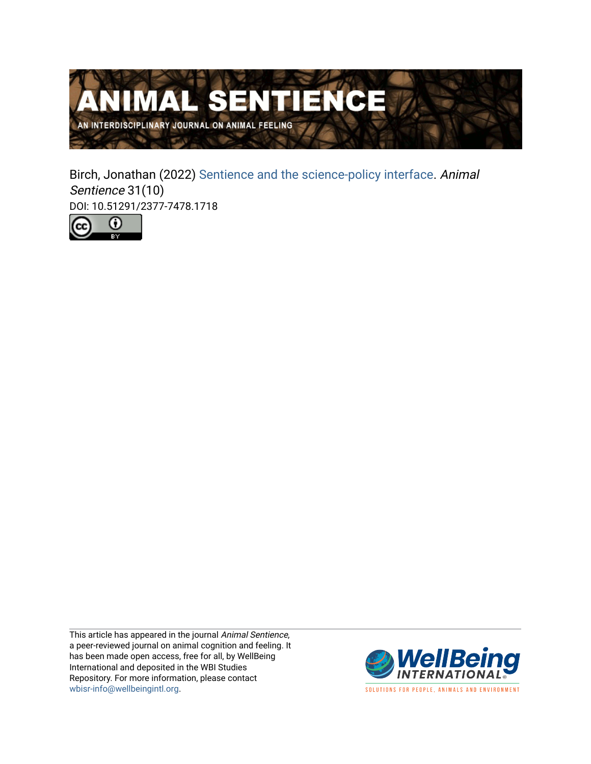

Birch, Jonathan (2022) [Sentience and the science-policy interface](https://www.wellbeingintlstudiesrepository.org/animsent/vol6/iss31/10). Animal Sentience 31(10) DOI: 10.51291/2377-7478.1718



This article has appeared in the journal Animal Sentience, a peer-reviewed journal on animal cognition and feeling. It has been made open access, free for all, by WellBeing International and deposited in the WBI Studies Repository. For more information, please contact [wbisr-info@wellbeingintl.org](mailto:wbisr-info@wellbeingintl.org).



SOLUTIONS FOR PEOPLE, ANIMALS AND ENVIRONMENT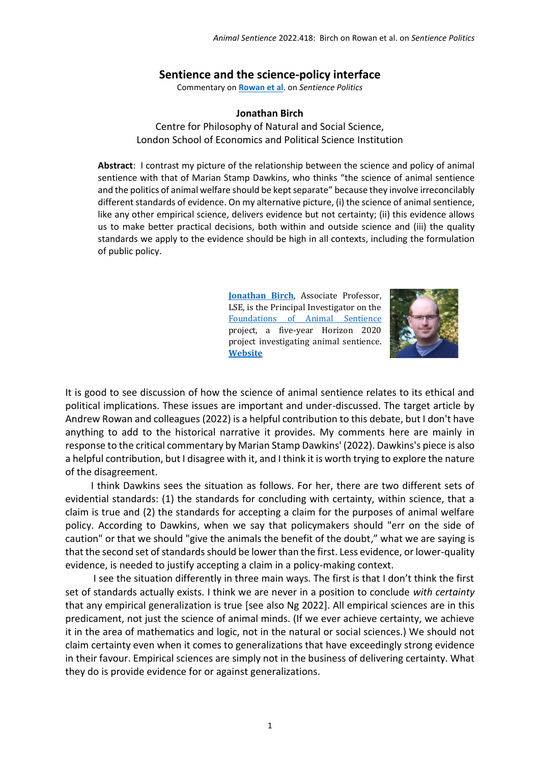## **Sentience and the science-policy interface**

Commentary on **[Rowan et al](https://www.wellbeingintlstudiesrepository.org/animsent/vol6/iss31/1/)**. on *Sentience Politics*

## **Jonathan Birch**

Centre for Philosophy of Natural and Social Science, London School of Economics and Political Science Institution

**Abstract**: I contrast my picture of the relationship between the science and policy of animal sentience with that of Marian Stamp Dawkins, who thinks "the science of animal sentience and the politics of animal welfare should be kept separate" because they involve irreconcilably different standards of evidence. On my alternative picture, (i) the science of animal sentience, like any other empirical science, delivers evidence but not certainty; (ii) this evidence allows us to make better practical decisions, both within and outside science and (iii) the quality standards we apply to the evidence should be high in all contexts, including the formulation of public policy.

> **[Jonathan Birch](mailto:Jonathan%20Birch%20%3cj.birch2@lse.ac.uk%3e)**, Associate Professor, LSE, is the Principal Investigator on the [Foundations of Animal Sentience](https://www.lse.ac.uk/cpnss/research/ASENT) project, a five-year Horizon 2020 project investigating animal sentience. **[Website](https://www.lse.ac.uk/cpnss/research/ASENT)**



It is good to see discussion of how the science of animal sentience relates to its ethical and political implications. These issues are important and under-discussed. The target article by Andrew Rowan and colleagues (2022) is a helpful contribution to this debate, but I don't have anything to add to the historical narrative it provides. My comments here are mainly in response to the critical commentary by Marian Stamp Dawkins' (2022). Dawkins's piece is also a helpful contribution, but I disagree with it, and I think it is worth trying to explore the nature of the disagreement.

I think Dawkins sees the situation as follows. For her, there are two different sets of evidential standards: (1) the standards for concluding with certainty, within science, that a claim is true and (2) the standards for accepting a claim for the purposes of animal welfare policy. According to Dawkins, when we say that policymakers should "err on the side of caution" or that we should "give the animals the benefit of the doubt," what we are saying is that the second set of standards should be lower than the first. Less evidence, or lower-quality evidence, is needed to justify accepting a claim in a policy-making context.

I see the situation differently in three main ways. The first is that I don't think the first set of standards actually exists. I think we are never in a position to conclude *with certainty* that any empirical generalization is true [see also Ng 2022]. All empirical sciences are in this predicament, not just the science of animal minds. (If we ever achieve certainty, we achieve it in the area of mathematics and logic, not in the natural or social sciences.) We should not claim certainty even when it comes to generalizations that have exceedingly strong evidence in their favour. Empirical sciences are simply not in the business of delivering certainty. What they do is provide evidence for or against generalizations.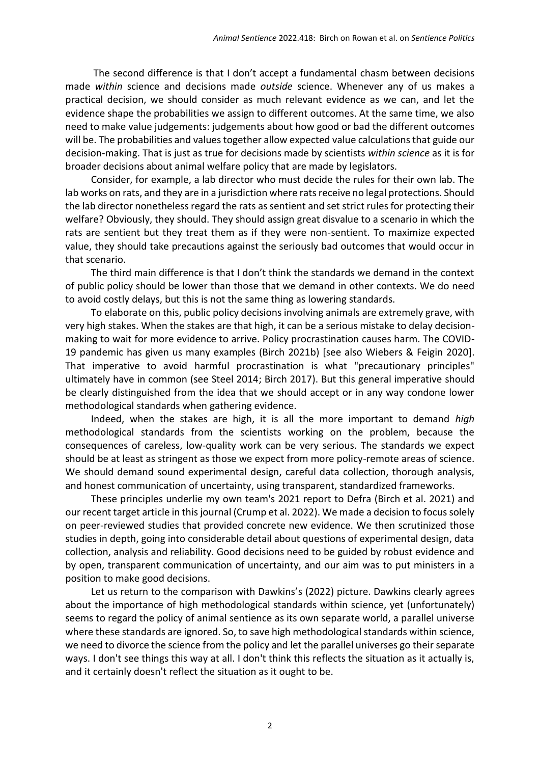The second difference is that I don't accept a fundamental chasm between decisions made *within* science and decisions made *outside* science. Whenever any of us makes a practical decision, we should consider as much relevant evidence as we can, and let the evidence shape the probabilities we assign to different outcomes. At the same time, we also need to make value judgements: judgements about how good or bad the different outcomes will be. The probabilities and values together allow expected value calculations that guide our decision-making. That is just as true for decisions made by scientists *within science* as it is for broader decisions about animal welfare policy that are made by legislators.

Consider, for example, a lab director who must decide the rules for their own lab. The lab works on rats, and they are in a jurisdiction where rats receive no legal protections. Should the lab director nonetheless regard the rats as sentient and set strict rules for protecting their welfare? Obviously, they should. They should assign great disvalue to a scenario in which the rats are sentient but they treat them as if they were non-sentient. To maximize expected value, they should take precautions against the seriously bad outcomes that would occur in that scenario.

The third main difference is that I don't think the standards we demand in the context of public policy should be lower than those that we demand in other contexts. We do need to avoid costly delays, but this is not the same thing as lowering standards.

To elaborate on this, public policy decisions involving animals are extremely grave, with very high stakes. When the stakes are that high, it can be a serious mistake to delay decisionmaking to wait for more evidence to arrive. Policy procrastination causes harm. The COVID-19 pandemic has given us many examples (Birch 2021b) [see also Wiebers & Feigin 2020]. That imperative to avoid harmful procrastination is what "precautionary principles" ultimately have in common (see Steel 2014; Birch 2017). But this general imperative should be clearly distinguished from the idea that we should accept or in any way condone lower methodological standards when gathering evidence.

Indeed, when the stakes are high, it is all the more important to demand *high* methodological standards from the scientists working on the problem, because the consequences of careless, low-quality work can be very serious. The standards we expect should be at least as stringent as those we expect from more policy-remote areas of science. We should demand sound experimental design, careful data collection, thorough analysis, and honest communication of uncertainty, using transparent, standardized frameworks.

These principles underlie my own team's 2021 report to Defra (Birch et al. 2021) and our recent target article in this journal (Crump et al. 2022). We made a decision to focus solely on peer-reviewed studies that provided concrete new evidence. We then scrutinized those studies in depth, going into considerable detail about questions of experimental design, data collection, analysis and reliability. Good decisions need to be guided by robust evidence and by open, transparent communication of uncertainty, and our aim was to put ministers in a position to make good decisions.

Let us return to the comparison with Dawkins's (2022) picture. Dawkins clearly agrees about the importance of high methodological standards within science, yet (unfortunately) seems to regard the policy of animal sentience as its own separate world, a parallel universe where these standards are ignored. So, to save high methodological standards within science, we need to divorce the science from the policy and let the parallel universes go their separate ways. I don't see things this way at all. I don't think this reflects the situation as it actually is, and it certainly doesn't reflect the situation as it ought to be.